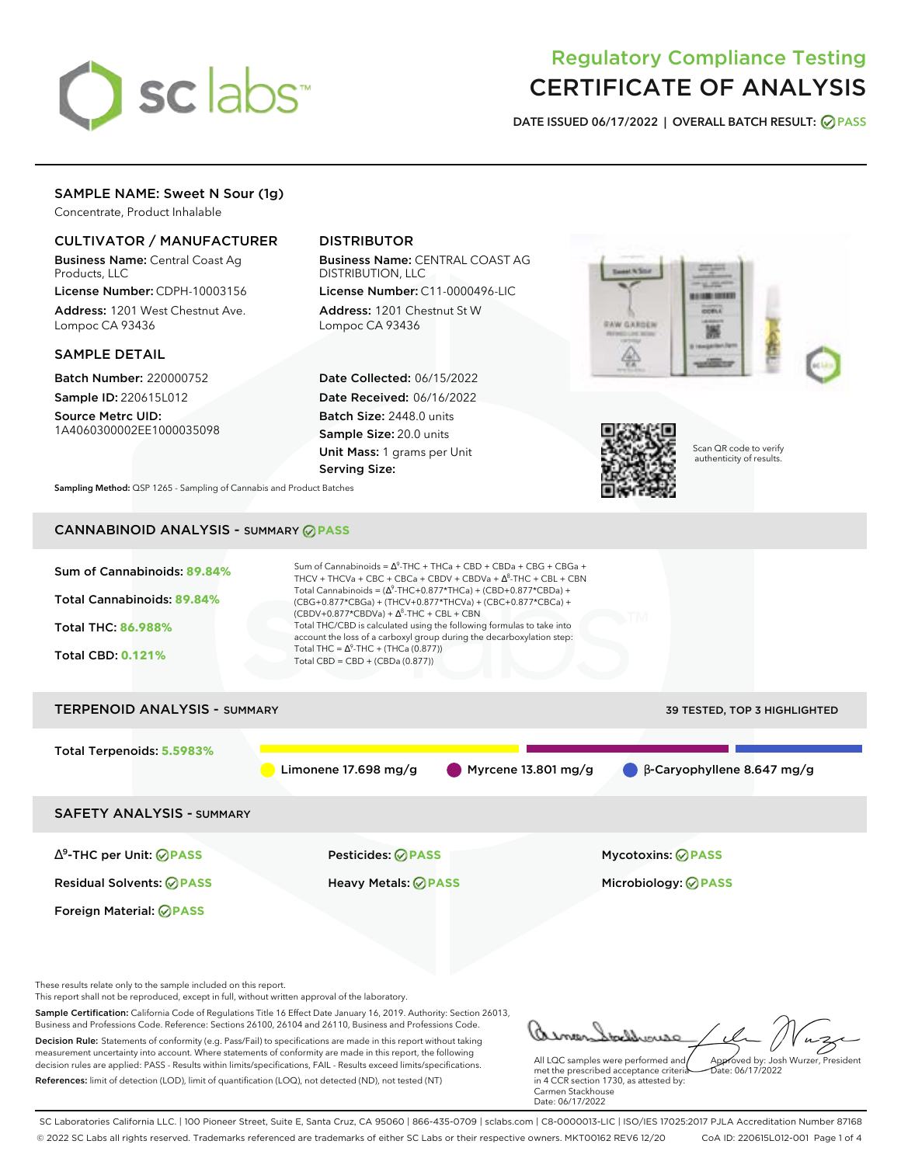

# Regulatory Compliance Testing CERTIFICATE OF ANALYSIS

**DATE ISSUED 06/17/2022 | OVERALL BATCH RESULT: PASS**

# SAMPLE NAME: Sweet N Sour (1g)

Concentrate, Product Inhalable

## CULTIVATOR / MANUFACTURER

Business Name: Central Coast Ag Products, LLC

License Number: CDPH-10003156 Address: 1201 West Chestnut Ave. Lompoc CA 93436

### SAMPLE DETAIL

Batch Number: 220000752 Sample ID: 220615L012

Source Metrc UID: 1A4060300002EE1000035098

# DISTRIBUTOR

Business Name: CENTRAL COAST AG DISTRIBUTION, LLC

License Number: C11-0000496-LIC Address: 1201 Chestnut St W Lompoc CA 93436

Date Collected: 06/15/2022 Date Received: 06/16/2022 Batch Size: 2448.0 units Sample Size: 20.0 units Unit Mass: 1 grams per Unit Serving Size:





Scan QR code to verify authenticity of results.

**Sampling Method:** QSP 1265 - Sampling of Cannabis and Product Batches

# CANNABINOID ANALYSIS - SUMMARY **PASS**



Decision Rule: Statements of conformity (e.g. Pass/Fail) to specifications are made in this report without taking measurement uncertainty into account. Where statements of conformity are made in this report, the following decision rules are applied: PASS - Results within limits/specifications, FAIL - Results exceed limits/specifications. References: limit of detection (LOD), limit of quantification (LOQ), not detected (ND), not tested (NT)

All LQC samples were performed and met the prescribed acceptance criteria in 4 CCR section 1730, as attested by: Approved by: Josh Wurzer, President Date: 06/17/2022

Carmen Stackhouse Date: 06/17/2022 SC Laboratories California LLC. | 100 Pioneer Street, Suite E, Santa Cruz, CA 95060 | 866-435-0709 | sclabs.com | C8-0000013-LIC | ISO/IES 17025:2017 PJLA Accreditation Number 87168

© 2022 SC Labs all rights reserved. Trademarks referenced are trademarks of either SC Labs or their respective owners. MKT00162 REV6 12/20 CoA ID: 220615L012-001 Page 1 of 4